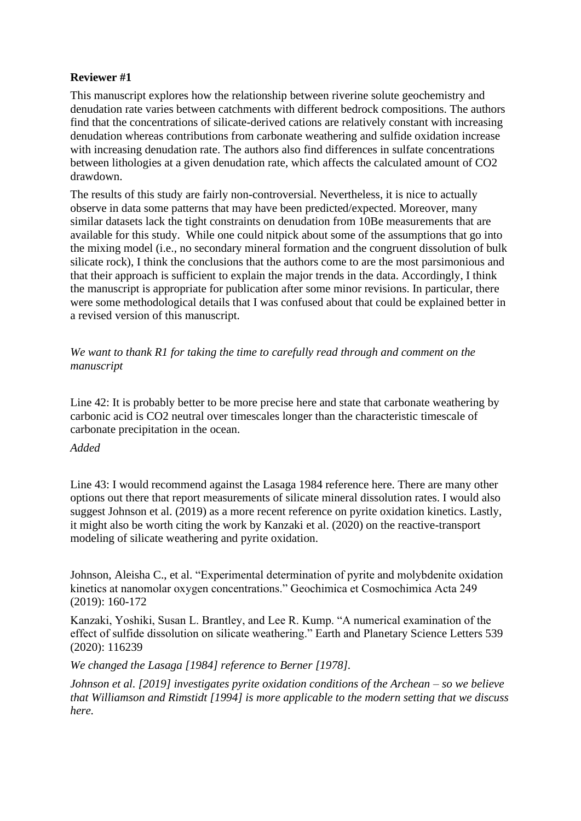## **Reviewer #1**

This manuscript explores how the relationship between riverine solute geochemistry and denudation rate varies between catchments with different bedrock compositions. The authors find that the concentrations of silicate-derived cations are relatively constant with increasing denudation whereas contributions from carbonate weathering and sulfide oxidation increase with increasing denudation rate. The authors also find differences in sulfate concentrations between lithologies at a given denudation rate, which affects the calculated amount of CO2 drawdown.

The results of this study are fairly non-controversial. Nevertheless, it is nice to actually observe in data some patterns that may have been predicted/expected. Moreover, many similar datasets lack the tight constraints on denudation from 10Be measurements that are available for this study. While one could nitpick about some of the assumptions that go into the mixing model (i.e., no secondary mineral formation and the congruent dissolution of bulk silicate rock), I think the conclusions that the authors come to are the most parsimonious and that their approach is sufficient to explain the major trends in the data. Accordingly, I think the manuscript is appropriate for publication after some minor revisions. In particular, there were some methodological details that I was confused about that could be explained better in a revised version of this manuscript.

*We want to thank R1 for taking the time to carefully read through and comment on the manuscript* 

Line 42: It is probably better to be more precise here and state that carbonate weathering by carbonic acid is CO2 neutral over timescales longer than the characteristic timescale of carbonate precipitation in the ocean.

## *Added*

Line 43: I would recommend against the Lasaga 1984 reference here. There are many other options out there that report measurements of silicate mineral dissolution rates. I would also suggest Johnson et al. (2019) as a more recent reference on pyrite oxidation kinetics. Lastly, it might also be worth citing the work by Kanzaki et al. (2020) on the reactive-transport modeling of silicate weathering and pyrite oxidation.

Johnson, Aleisha C., et al. "Experimental determination of pyrite and molybdenite oxidation kinetics at nanomolar oxygen concentrations." Geochimica et Cosmochimica Acta 249 (2019): 160-172

Kanzaki, Yoshiki, Susan L. Brantley, and Lee R. Kump. "A numerical examination of the effect of sulfide dissolution on silicate weathering." Earth and Planetary Science Letters 539 (2020): 116239

*We changed the Lasaga [1984] reference to Berner [1978].* 

*Johnson et al. [2019] investigates pyrite oxidation conditions of the Archean – so we believe that Williamson and Rimstidt [1994] is more applicable to the modern setting that we discuss here.*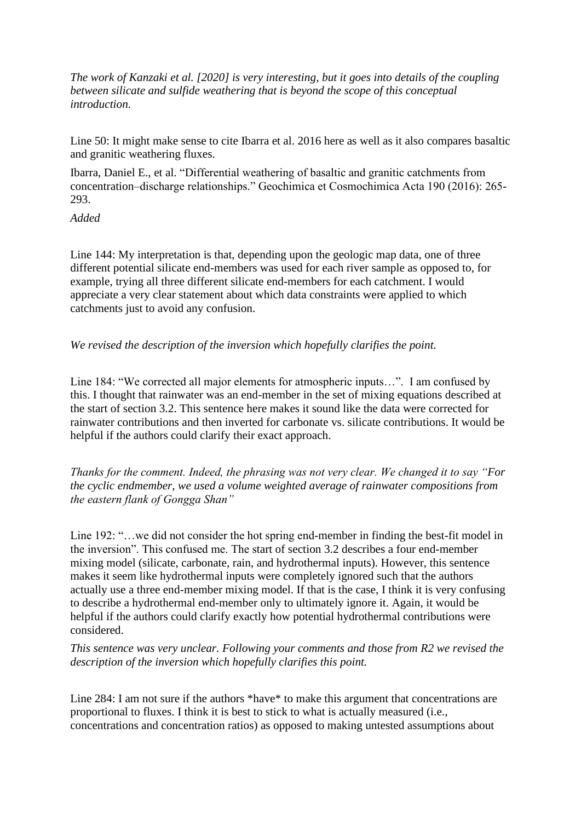*The work of Kanzaki et al. [2020] is very interesting, but it goes into details of the coupling between silicate and sulfide weathering that is beyond the scope of this conceptual introduction.*

Line 50: It might make sense to cite Ibarra et al. 2016 here as well as it also compares basaltic and granitic weathering fluxes.

Ibarra, Daniel E., et al. "Differential weathering of basaltic and granitic catchments from concentration–discharge relationships." Geochimica et Cosmochimica Acta 190 (2016): 265- 293.

*Added*

Line 144: My interpretation is that, depending upon the geologic map data, one of three different potential silicate end-members was used for each river sample as opposed to, for example, trying all three different silicate end-members for each catchment. I would appreciate a very clear statement about which data constraints were applied to which catchments just to avoid any confusion.

*We revised the description of the inversion which hopefully clarifies the point.*

Line 184: "We corrected all major elements for atmospheric inputs…". I am confused by this. I thought that rainwater was an end-member in the set of mixing equations described at the start of section 3.2. This sentence here makes it sound like the data were corrected for rainwater contributions and then inverted for carbonate vs. silicate contributions. It would be helpful if the authors could clarify their exact approach.

*Thanks for the comment. Indeed, the phrasing was not very clear. We changed it to say "For the cyclic endmember, we used a volume weighted average of rainwater compositions from the eastern flank of Gongga Shan"*

Line 192: "…we did not consider the hot spring end-member in finding the best-fit model in the inversion". This confused me. The start of section 3.2 describes a four end-member mixing model (silicate, carbonate, rain, and hydrothermal inputs). However, this sentence makes it seem like hydrothermal inputs were completely ignored such that the authors actually use a three end-member mixing model. If that is the case, I think it is very confusing to describe a hydrothermal end-member only to ultimately ignore it. Again, it would be helpful if the authors could clarify exactly how potential hydrothermal contributions were considered.

*This sentence was very unclear. Following your comments and those from R2 we revised the description of the inversion which hopefully clarifies this point.*

Line 284: I am not sure if the authors \*have\* to make this argument that concentrations are proportional to fluxes. I think it is best to stick to what is actually measured (i.e., concentrations and concentration ratios) as opposed to making untested assumptions about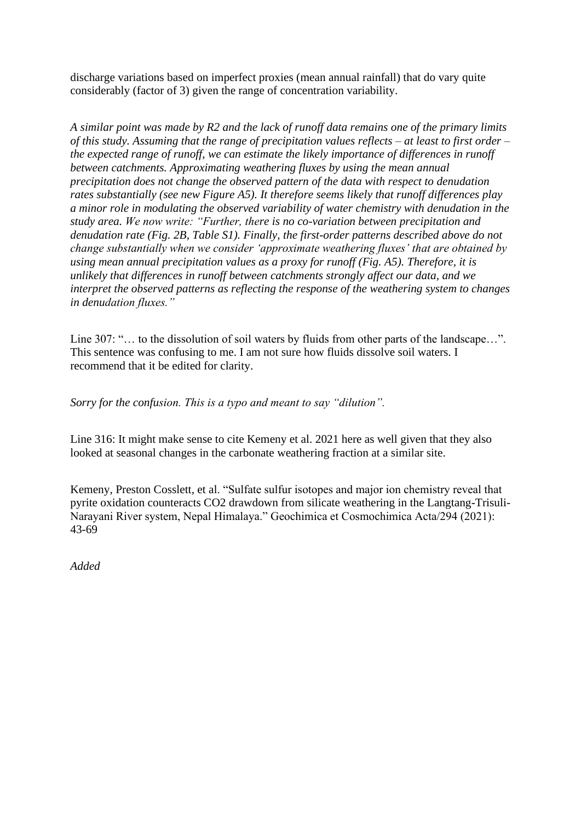discharge variations based on imperfect proxies (mean annual rainfall) that do vary quite considerably (factor of 3) given the range of concentration variability.

*A similar point was made by R2 and the lack of runoff data remains one of the primary limits of this study. Assuming that the range of precipitation values reflects – at least to first order – the expected range of runoff, we can estimate the likely importance of differences in runoff between catchments. Approximating weathering fluxes by using the mean annual precipitation does not change the observed pattern of the data with respect to denudation rates substantially (see new Figure A5). It therefore seems likely that runoff differences play a minor role in modulating the observed variability of water chemistry with denudation in the study area. We now write: "Further, there is no co-variation between precipitation and denudation rate (Fig. 2B, Table S1). Finally, the first-order patterns described above do not change substantially when we consider 'approximate weathering fluxes' that are obtained by using mean annual precipitation values as a proxy for runoff (Fig. A5). Therefore, it is unlikely that differences in runoff between catchments strongly affect our data, and we interpret the observed patterns as reflecting the response of the weathering system to changes in denudation fluxes."*

Line 307: "... to the dissolution of soil waters by fluids from other parts of the landscape...". This sentence was confusing to me. I am not sure how fluids dissolve soil waters. I recommend that it be edited for clarity.

*Sorry for the confusion. This is a typo and meant to say "dilution".*

Line 316: It might make sense to cite Kemeny et al. 2021 here as well given that they also looked at seasonal changes in the carbonate weathering fraction at a similar site.

Kemeny, Preston Cosslett, et al. "Sulfate sulfur isotopes and major ion chemistry reveal that pyrite oxidation counteracts CO2 drawdown from silicate weathering in the Langtang-Trisuli-Narayani River system, Nepal Himalaya." Geochimica et Cosmochimica Acta/294 (2021): 43-69

*Added*